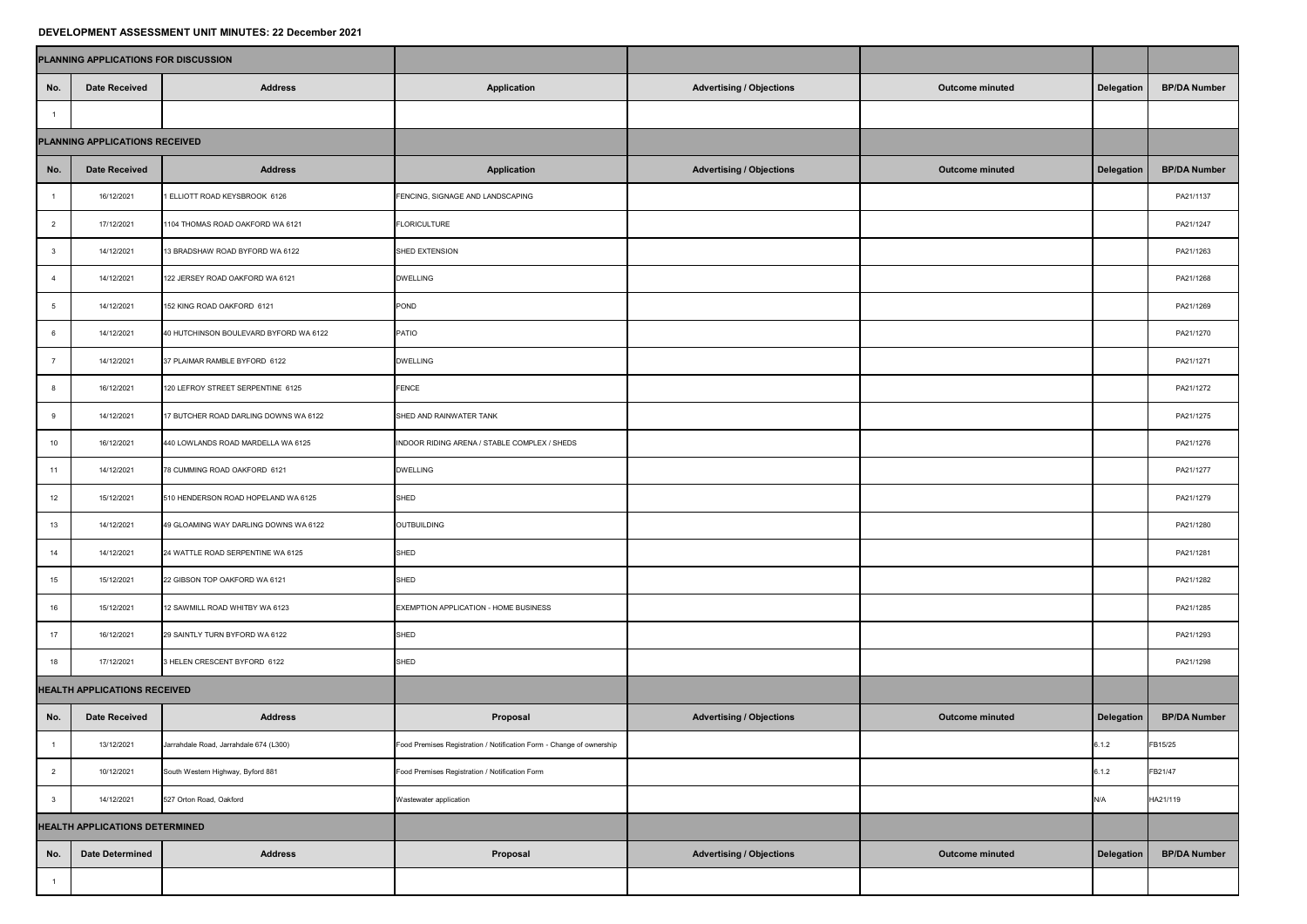## **DEVELOPMENT ASSESSMENT UNIT MINUTES: 22 December 2021**

|                                     | PLANNING APPLICATIONS FOR DISCUSSION  |                                        |                                                                      |                                 |                        |                   |                     |
|-------------------------------------|---------------------------------------|----------------------------------------|----------------------------------------------------------------------|---------------------------------|------------------------|-------------------|---------------------|
| No.                                 | <b>Date Received</b>                  | <b>Address</b>                         | <b>Application</b>                                                   | <b>Advertising / Objections</b> | <b>Outcome minuted</b> | <b>Delegation</b> | <b>BP/DA Number</b> |
|                                     |                                       |                                        |                                                                      |                                 |                        |                   |                     |
| PLANNING APPLICATIONS RECEIVED      |                                       |                                        |                                                                      |                                 |                        |                   |                     |
| No.                                 | <b>Date Received</b>                  | <b>Address</b>                         | <b>Application</b>                                                   | <b>Advertising / Objections</b> | <b>Outcome minuted</b> | <b>Delegation</b> | <b>BP/DA Number</b> |
|                                     | 16/12/2021                            | 1 ELLIOTT ROAD KEYSBROOK 6126          | FENCING, SIGNAGE AND LANDSCAPING                                     |                                 |                        |                   | PA21/1137           |
|                                     | 17/12/2021                            | 1104 THOMAS ROAD OAKFORD WA 6121       | FLORICULTURE                                                         |                                 |                        |                   | PA21/1247           |
|                                     | 14/12/2021                            | 13 BRADSHAW ROAD BYFORD WA 6122        | SHED EXTENSION                                                       |                                 |                        | PA21/1263         |                     |
|                                     | 14/12/2021                            | 122 JERSEY ROAD OAKFORD WA 6121        | <b>DWELLING</b>                                                      |                                 |                        | PA21/1268         |                     |
|                                     | 14/12/2021                            | 152 KING ROAD OAKFORD 6121             | POND                                                                 |                                 |                        | PA21/1269         |                     |
|                                     | 14/12/2021                            | 40 HUTCHINSON BOULEVARD BYFORD WA 6122 | <b>PATIO</b>                                                         |                                 |                        | PA21/1270         |                     |
|                                     | 14/12/2021                            | 37 PLAIMAR RAMBLE BYFORD 6122          | <b>DWELLING</b>                                                      |                                 |                        | PA21/1271         |                     |
|                                     | 16/12/2021                            | 120 LEFROY STREET SERPENTINE 6125      | <b>FENCE</b>                                                         |                                 |                        | PA21/1272         |                     |
|                                     | 14/12/2021                            | 17 BUTCHER ROAD DARLING DOWNS WA 6122  | SHED AND RAINWATER TANK                                              |                                 |                        | PA21/1275         |                     |
| 10                                  | 16/12/2021                            | 440 LOWLANDS ROAD MARDELLA WA 6125     | INDOOR RIDING ARENA / STABLE COMPLEX / SHEDS                         |                                 |                        | PA21/1276         |                     |
| 11                                  | 14/12/2021                            | 78 CUMMING ROAD OAKFORD 6121           | <b>DWELLING</b>                                                      |                                 |                        | PA21/1277         |                     |
| 12                                  | 15/12/2021                            | 510 HENDERSON ROAD HOPELAND WA 6125    | SHED                                                                 |                                 |                        | PA21/1279         |                     |
| 13                                  | 14/12/2021                            | 49 GLOAMING WAY DARLING DOWNS WA 6122  | OUTBUILDING                                                          |                                 |                        | PA21/1280         |                     |
| 14                                  | 14/12/2021                            | 24 WATTLE ROAD SERPENTINE WA 6125      | SHED                                                                 |                                 |                        |                   | PA21/1281           |
| 15                                  | 15/12/2021                            | 22 GIBSON TOP OAKFORD WA 6121          | SHED                                                                 |                                 |                        | PA21/1282         |                     |
| 16                                  | 15/12/2021                            | 12 SAWMILL ROAD WHITBY WA 6123         | <b>EXEMPTION APPLICATION - HOME BUSINESS</b>                         |                                 |                        |                   | PA21/1285           |
| 17                                  | 16/12/2021                            | 29 SAINTLY TURN BYFORD WA 6122         | SHED                                                                 |                                 |                        |                   | PA21/1293           |
| 18                                  | 17/12/2021                            | 3 HELEN CRESCENT BYFORD 6122           | SHED                                                                 |                                 |                        |                   | PA21/1298           |
| <b>HEALTH APPLICATIONS RECEIVED</b> |                                       |                                        |                                                                      |                                 |                        |                   |                     |
| No.                                 | Date Received                         | <b>Address</b>                         | Proposal                                                             | <b>Advertising / Objections</b> | Outcome minuted        | <b>Delegation</b> | <b>BP/DA Number</b> |
|                                     | 13/12/2021                            | Jarrahdale Road, Jarrahdale 674 (L300) | Food Premises Registration / Notification Form - Change of ownership |                                 |                        | 6.1.2             | FB15/25             |
|                                     | 10/12/2021                            | South Western Highway, Byford 881      | Food Premises Registration / Notification Form                       |                                 |                        | 6.1.2             | FB21/47             |
|                                     | 14/12/2021                            | 527 Orton Road, Oakford                | Wastewater application                                               |                                 |                        | N/A               | HA21/119            |
|                                     | <b>HEALTH APPLICATIONS DETERMINED</b> |                                        |                                                                      |                                 |                        |                   |                     |
| No.                                 | <b>Date Determined</b>                | <b>Address</b>                         | Proposal                                                             | <b>Advertising / Objections</b> | <b>Outcome minuted</b> | <b>Delegation</b> | <b>BP/DA Number</b> |
|                                     |                                       |                                        |                                                                      |                                 |                        |                   |                     |